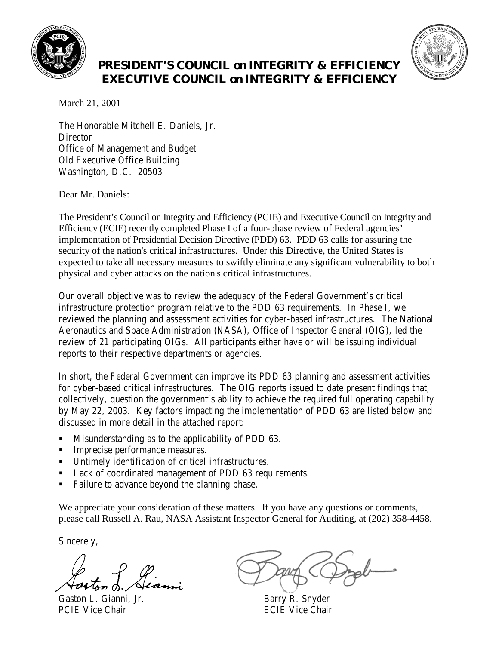



# **PRESIDENT'S COUNCIL on INTEGRITY & EFFICIENCY EXECUTIVE COUNCIL on INTEGRITY & EFFICIENCY**

March 21, 2001

The Honorable Mitchell E. Daniels, Jr. **Director** Office of Management and Budget Old Executive Office Building Washington, D.C. 20503

Dear Mr. Daniels:

The President's Council on Integrity and Efficiency (PCIE) and Executive Council on Integrity and Efficiency (ECIE) recently completed Phase I of a four-phase review of Federal agencies' implementation of Presidential Decision Directive (PDD) 63. PDD 63 calls for assuring the security of the nation's critical infrastructures. Under this Directive, the United States is expected to take all necessary measures to swiftly eliminate any significant vulnerability to both physical and cyber attacks on the nation's critical infrastructures.

Our overall objective was to review the adequacy of the Federal Government's critical infrastructure protection program relative to the PDD 63 requirements. In Phase I, we reviewed the planning and assessment activities for cyber-based infrastructures. The National Aeronautics and Space Administration (NASA), Office of Inspector General (OIG), led the review of 21 participating OIGs. All participants either have or will be issuing individual reports to their respective departments or agencies.

In short, the Federal Government can improve its PDD 63 planning and assessment activities for cyber-based critical infrastructures. The OIG reports issued to date present findings that, collectively, question the government's ability to achieve the required full operating capability by May 22, 2003. Key factors impacting the implementation of PDD 63 are listed below and discussed in more detail in the attached report:

- ! Misunderstanding as to the applicability of PDD 63.
- **Imprecise performance measures.**
- ! Untimely identification of critical infrastructures.
- ! Lack of coordinated management of PDD 63 requirements.
- ! Failure to advance beyond the planning phase.

We appreciate your consideration of these matters. If you have any questions or comments, please call Russell A. Rau, NASA Assistant Inspector General for Auditing, at (202) 358-4458.

Sincerely,

Gaston L. Gianni, Jr.<br>
PCIE Vice Chair<br>
PCIE Vice Chair<br>
Barry R. Snyder<br>
ECIE Vice Chair PCIE Vice Chair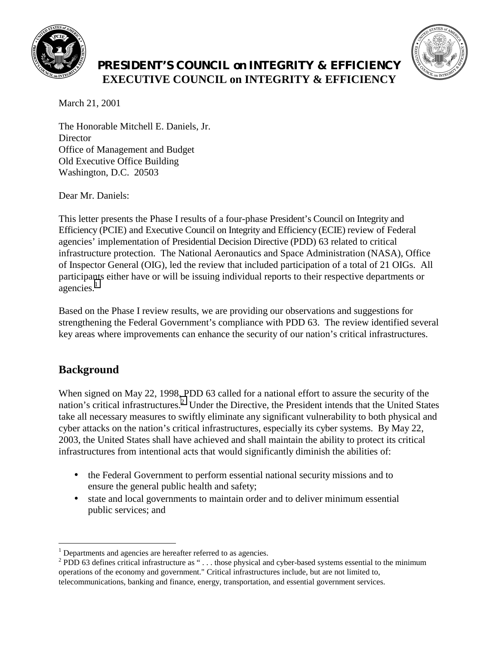



# **PRESIDENT'S COUNCIL on INTEGRITY & EFFICIENCY EXECUTIVE COUNCIL on INTEGRITY & EFFICIENCY**

March 21, 2001

The Honorable Mitchell E. Daniels, Jr. **Director** Office of Management and Budget Old Executive Office Building Washington, D.C. 20503

Dear Mr. Daniels:

This letter presents the Phase I results of a four-phase President's Council on Integrity and Efficiency (PCIE) and Executive Council on Integrity and Efficiency (ECIE) review of Federal agencies' implementation of Presidential Decision Directive (PDD) 63 related to critical infrastructure protection. The National Aeronautics and Space Administration (NASA), Office of Inspector General (OIG), led the review that included participation of a total of 21 OIGs. All participants either have or will be issuing individual reports to their respective departments or agencies. $<sup>1</sup>$ </sup>

Based on the Phase I review results, we are providing our observations and suggestions for strengthening the Federal Government's compliance with PDD 63. The review identified several key areas where improvements can enhance the security of our nation's critical infrastructures.

### **Background**

 $\overline{a}$ 

When signed on May 22, 1998, PDD 63 called for a national effort to assure the security of the nation's critical infrastructures.<sup>2</sup> Under the Directive, the President intends that the United States take all necessary measures to swiftly eliminate any significant vulnerability to both physical and cyber attacks on the nation's critical infrastructures, especially its cyber systems. By May 22, 2003, the United States shall have achieved and shall maintain the ability to protect its critical infrastructures from intentional acts that would significantly diminish the abilities of:

- the Federal Government to perform essential national security missions and to ensure the general public health and safety;
- state and local governments to maintain order and to deliver minimum essential public services; and

 $<sup>1</sup>$  Departments and agencies are hereafter referred to as agencies.</sup>

 $2$  PDD 63 defines critical infrastructure as "... those physical and cyber-based systems essential to the minimum operations of the economy and government." Critical infrastructures include, but are not limited to, telecommunications, banking and finance, energy, transportation, and essential government services.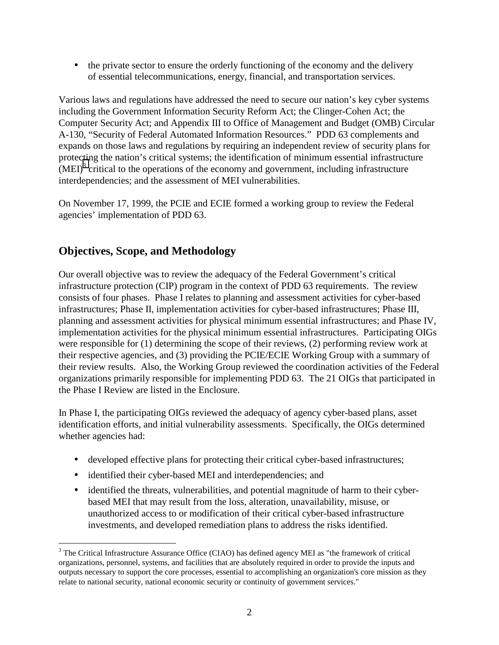• the private sector to ensure the orderly functioning of the economy and the delivery of essential telecommunications, energy, financial, and transportation services.

Various laws and regulations have addressed the need to secure our nation's key cyber systems including the Government Information Security Reform Act; the Clinger-Cohen Act; the Computer Security Act; and Appendix III to Office of Management and Budget (OMB) Circular A-130, "Security of Federal Automated Information Resources." PDD 63 complements and expands on those laws and regulations by requiring an independent review of security plans for protecting the nation's critical systems; the identification of minimum essential infrastructure  $(MEI)^3$  critical to the operations of the economy and government, including infrastructure interdependencies; and the assessment of MEI vulnerabilities.

On November 17, 1999, the PCIE and ECIE formed a working group to review the Federal agencies' implementation of PDD 63.

### **Objectives, Scope, and Methodology**

 $\overline{a}$ 

Our overall objective was to review the adequacy of the Federal Government's critical infrastructure protection (CIP) program in the context of PDD 63 requirements. The review consists of four phases. Phase I relates to planning and assessment activities for cyber-based infrastructures; Phase II, implementation activities for cyber-based infrastructures; Phase III, planning and assessment activities for physical minimum essential infrastructures; and Phase IV, implementation activities for the physical minimum essential infrastructures. Participating OIGs were responsible for (1) determining the scope of their reviews, (2) performing review work at their respective agencies, and (3) providing the PCIE/ECIE Working Group with a summary of their review results. Also, the Working Group reviewed the coordination activities of the Federal organizations primarily responsible for implementing PDD 63.The 21 OIGs that participated in the Phase I Review are listed in the Enclosure.

In Phase I, the participating OIGs reviewed the adequacy of agency cyber-based plans, asset identification efforts, and initial vulnerability assessments. Specifically, the OIGs determined whether agencies had:

- developed effective plans for protecting their critical cyber-based infrastructures;
- identified their cyber-based MEI and interdependencies; and
- identified the threats, vulnerabilities, and potential magnitude of harm to their cyberbased MEI that may result from the loss, alteration, unavailability, misuse, or unauthorized access to or modification of their critical cyber-based infrastructure investments, and developed remediation plans to address the risks identified.

 $3$  The Critical Infrastructure Assurance Office (CIAO) has defined agency MEI as "the framework of critical organizations, personnel, systems, and facilities that are absolutely required in order to provide the inputs and outputs necessary to support the core processes, essential to accomplishing an organization's core mission as they relate to national security, national economic security or continuity of government services."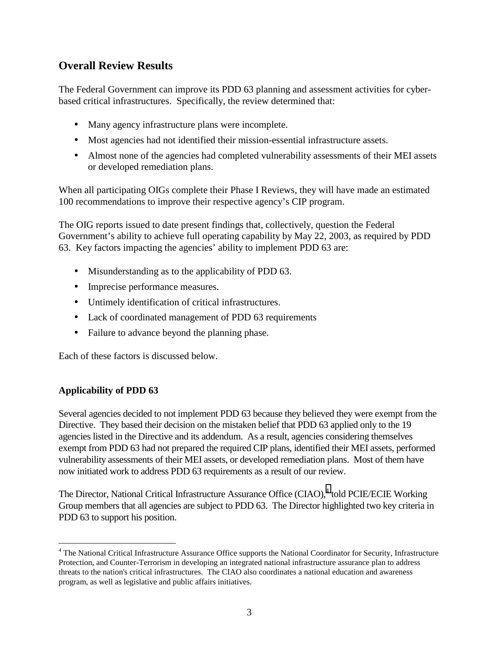### **Overall Review Results**

The Federal Government can improve its PDD 63 planning and assessment activities for cyberbased critical infrastructures. Specifically, the review determined that:

- Many agency infrastructure plans were incomplete.
- Most agencies had not identified their mission-essential infrastructure assets.
- Almost none of the agencies had completed vulnerability assessments of their MEI assets or developed remediation plans.

When all participating OIGs complete their Phase I Reviews, they will have made an estimated 100 recommendations to improve their respective agency's CIP program.

The OIG reports issued to date present findings that, collectively, question the Federal Government's ability to achieve full operating capability by May 22, 2003, as required by PDD 63. Key factors impacting the agencies' ability to implement PDD 63 are:

- Misunderstanding as to the applicability of PDD 63.
- Imprecise performance measures.
- Untimely identification of critical infrastructures.
- Lack of coordinated management of PDD 63 requirements
- Failure to advance beyond the planning phase.

Each of these factors is discussed below.

#### **Applicability of PDD 63**

 $\overline{a}$ 

Several agencies decided to not implement PDD 63 because they believed they were exempt from the Directive. They based their decision on the mistaken belief that PDD 63 applied only to the 19 agencies listed in the Directive and its addendum. As a result, agencies considering themselves exempt from PDD 63 had not prepared the required CIP plans, identified their MEI assets, performed vulnerability assessments of their MEI assets, or developed remediation plans. Most of them have now initiated work to address PDD 63 requirements as a result of our review.

The Director, National Critical Infrastructure Assurance Office (CIAO),<sup>4</sup> told PCIE/ECIE Working Group members that all agencies are subject to PDD 63. The Director highlighted two key criteria in PDD 63 to support his position.

<sup>&</sup>lt;sup>4</sup> The National Critical Infrastructure Assurance Office supports the National Coordinator for Security, Infrastructure Protection, and Counter-Terrorism in developing an integrated national infrastructure assurance plan to address threats to the nation's critical infrastructures. The CIAO also coordinates a national education and awareness program, as well as legislative and public affairs initiatives.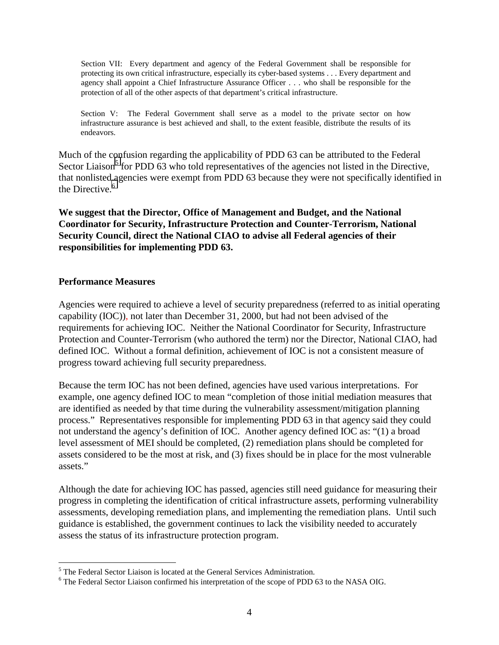Section VII: Every department and agency of the Federal Government shall be responsible for protecting its own critical infrastructure, especially its cyber-based systems . . . Every department and agency shall appoint a Chief Infrastructure Assurance Officer . . . who shall be responsible for the protection of all of the other aspects of that department's critical infrastructure.

Section V: The Federal Government shall serve as a model to the private sector on how infrastructure assurance is best achieved and shall, to the extent feasible, distribute the results of its endeavors.

Much of the confusion regarding the applicability of PDD 63 can be attributed to the Federal Sector Liaison<sup>5</sup> for PDD 63 who told representatives of the agencies not listed in the Directive, that nonlisted agencies were exempt from PDD 63 because they were not specifically identified in the Directive.<sup>6</sup>

**We suggest that the Director, Office of Management and Budget, and the National Coordinator for Security, Infrastructure Protection and Counter-Terrorism, National Security Council, direct the National CIAO to advise all Federal agencies of their responsibilities for implementing PDD 63.**

#### **Performance Measures**

Agencies were required to achieve a level of security preparedness (referred to as initial operating capability (IOC)), not later than December 31, 2000, but had not been advised of the requirements for achieving IOC. Neither the National Coordinator for Security, Infrastructure Protection and Counter-Terrorism (who authored the term) nor the Director, National CIAO, had defined IOC. Without a formal definition, achievement of IOC is not a consistent measure of progress toward achieving full security preparedness.

Because the term IOC has not been defined, agencies have used various interpretations. For example, one agency defined IOC to mean "completion of those initial mediation measures that are identified as needed by that time during the vulnerability assessment/mitigation planning process." Representatives responsible for implementing PDD 63 in that agency said they could not understand the agency's definition of IOC. Another agency defined IOC as: "(1) a broad level assessment of MEI should be completed, (2) remediation plans should be completed for assets considered to be the most at risk, and (3) fixes should be in place for the most vulnerable assets."

Although the date for achieving IOC has passed, agencies still need guidance for measuring their progress in completing the identification of critical infrastructure assets, performing vulnerability assessments, developing remediation plans, and implementing the remediation plans. Until such guidance is established, the government continues to lack the visibility needed to accurately assess the status of its infrastructure protection program.

 5 The Federal Sector Liaison is located at the General Services Administration.

<sup>&</sup>lt;sup>6</sup> The Federal Sector Liaison confirmed his interpretation of the scope of PDD 63 to the NASA OIG.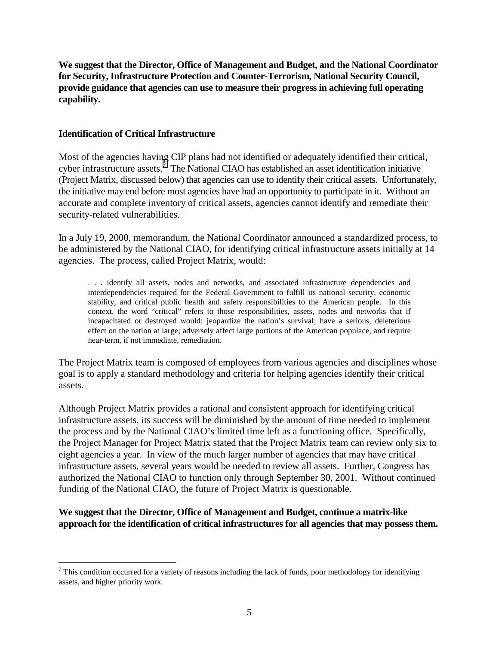**We suggest that the Director, Office of Management and Budget, and the National Coordinator for Security, Infrastructure Protection and Counter-Terrorism, National Security Council, provide guidance that agencies can use to measure their progress in achieving full operating capability.**

#### **Identification of Critical Infrastructure**

 $\overline{a}$ 

Most of the agencies having CIP plans had not identified or adequately identified their critical, cyber infrastructure assets.<sup>7</sup> The National CIAO has established an asset identification initiative (Project Matrix, discussed below) that agencies can use to identify their critical assets. Unfortunately, the initiative may end before most agencies have had an opportunity to participate in it. Without an accurate and complete inventory of critical assets, agencies cannot identify and remediate their security-related vulnerabilities.

In a July 19, 2000, memorandum, the National Coordinator announced a standardized process, to be administered by the National CIAO, for identifying critical infrastructure assets initially at 14 agencies. The process, called Project Matrix, would:

. . . identify all assets, nodes and networks, and associated infrastructure dependencies and interdependencies required for the Federal Government to fulfill its national security, economic stability, and critical public health and safety responsibilities to the American people. In this context, the word "critical" refers to those responsibilities, assets, nodes and networks that if incapacitated or destroyed would: jeopardize the nation's survival; have a serious, deleterious effect on the nation at large; adversely affect large portions of the American populace, and require near-term, if not immediate, remediation.

The Project Matrix team is composed of employees from various agencies and disciplines whose goal is to apply a standard methodology and criteria for helping agencies identify their critical assets.

Although Project Matrix provides a rational and consistent approach for identifying critical infrastructure assets, its success will be diminished by the amount of time needed to implement the process and by the National CIAO's limited time left as a functioning office. Specifically, the Project Manager for Project Matrix stated that the Project Matrix team can review only six to eight agencies a year. In view of the much larger number of agencies that may have critical infrastructure assets, several years would be needed to review all assets. Further, Congress has authorized the National CIAO to function only through September 30, 2001. Without continued funding of the National CIAO, the future of Project Matrix is questionable.

**We suggest that the Director, Office of Management and Budget, continue a matrix-like approach for the identification of critical infrastructures for all agencies that may possess them.**

 $<sup>7</sup>$  This condition occurred for a variety of reasons including the lack of funds, poor methodology for identifying</sup> assets, and higher priority work.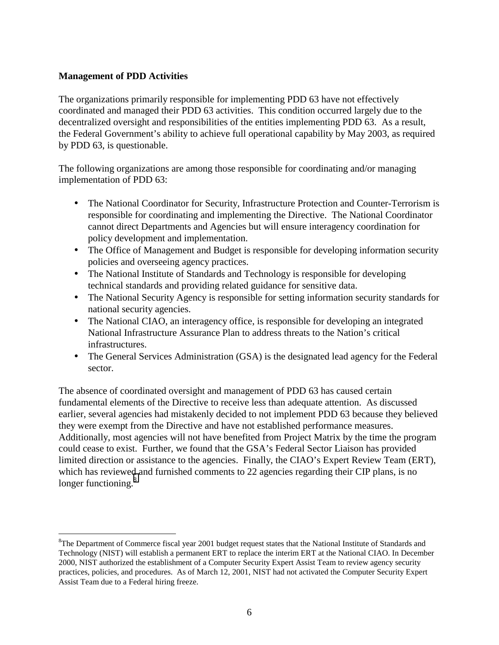#### **Management of PDD Activities**

 $\overline{a}$ 

The organizations primarily responsible for implementing PDD 63 have not effectively coordinated and managed their PDD 63 activities. This condition occurred largely due to the decentralized oversight and responsibilities of the entities implementing PDD 63. As a result, the Federal Government's ability to achieve full operational capability by May 2003, as required by PDD 63, is questionable.

The following organizations are among those responsible for coordinating and/or managing implementation of PDD 63:

- The National Coordinator for Security, Infrastructure Protection and Counter-Terrorism is responsible for coordinating and implementing the Directive. The National Coordinator cannot direct Departments and Agencies but will ensure interagency coordination for policy development and implementation.
- The Office of Management and Budget is responsible for developing information security policies and overseeing agency practices.
- The National Institute of Standards and Technology is responsible for developing technical standards and providing related guidance for sensitive data.
- The National Security Agency is responsible for setting information security standards for national security agencies.
- The National CIAO, an interagency office, is responsible for developing an integrated National Infrastructure Assurance Plan to address threats to the Nation's critical infrastructures.
- The General Services Administration (GSA) is the designated lead agency for the Federal sector.

The absence of coordinated oversight and management of PDD 63 has caused certain fundamental elements of the Directive to receive less than adequate attention. As discussed earlier, several agencies had mistakenly decided to not implement PDD 63 because they believed they were exempt from the Directive and have not established performance measures. Additionally, most agencies will not have benefited from Project Matrix by the time the program could cease to exist. Further, we found that the GSA's Federal Sector Liaison has provided limited direction or assistance to the agencies. Finally, the CIAO's Expert Review Team (ERT), which has reviewed and furnished comments to 22 agencies regarding their CIP plans, is no longer functioning.<sup>8</sup>

<sup>&</sup>lt;sup>8</sup>The Department of Commerce fiscal year 2001 budget request states that the National Institute of Standards and Technology (NIST) will establish a permanent ERT to replace the interim ERT at the National CIAO. In December 2000, NIST authorized the establishment of a Computer Security Expert Assist Team to review agency security practices, policies, and procedures. As of March 12, 2001, NIST had not activated the Computer Security Expert Assist Team due to a Federal hiring freeze.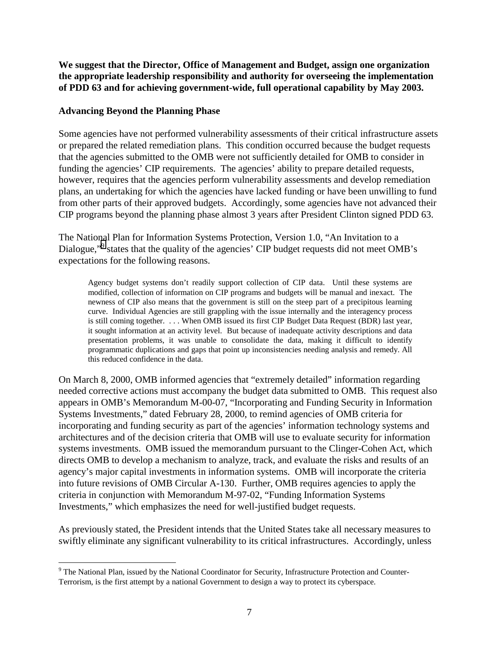**We suggest that the Director, Office of Management and Budget, assign one organization the appropriate leadership responsibility and authority for overseeing the implementation of PDD 63 and for achieving government-wide, full operational capability by May 2003.**

#### **Advancing Beyond the Planning Phase**

 $\overline{a}$ 

Some agencies have not performed vulnerability assessments of their critical infrastructure assets or prepared the related remediation plans. This condition occurred because the budget requests that the agencies submitted to the OMB were not sufficiently detailed for OMB to consider in funding the agencies' CIP requirements. The agencies' ability to prepare detailed requests, however, requires that the agencies perform vulnerability assessments and develop remediation plans, an undertaking for which the agencies have lacked funding or have been unwilling to fund from other parts of their approved budgets. Accordingly, some agencies have not advanced their CIP programs beyond the planning phase almost 3 years after President Clinton signed PDD 63.

The National Plan for Information Systems Protection, Version 1.0, "An Invitation to a Dialogue,"<sup>9</sup> states that the quality of the agencies' CIP budget requests did not meet OMB's expectations for the following reasons.

Agency budget systems don't readily support collection of CIP data. Until these systems are modified, collection of information on CIP programs and budgets will be manual and inexact. The newness of CIP also means that the government is still on the steep part of a precipitous learning curve. Individual Agencies are still grappling with the issue internally and the interagency process is still coming together. . . . When OMB issued its first CIP Budget Data Request (BDR) last year, it sought information at an activity level. But because of inadequate activity descriptions and data presentation problems, it was unable to consolidate the data, making it difficult to identify programmatic duplications and gaps that point up inconsistencies needing analysis and remedy. All this reduced confidence in the data.

On March 8, 2000, OMB informed agencies that "extremely detailed" information regarding needed corrective actions must accompany the budget data submitted to OMB. This request also appears in OMB's Memorandum M-00-07, "Incorporating and Funding Security in Information Systems Investments," dated February 28, 2000, to remind agencies of OMB criteria for incorporating and funding security as part of the agencies' information technology systems and architectures and of the decision criteria that OMB will use to evaluate security for information systems investments. OMB issued the memorandum pursuant to the Clinger-Cohen Act, which directs OMB to develop a mechanism to analyze, track, and evaluate the risks and results of an agency's major capital investments in information systems. OMB will incorporate the criteria into future revisions of OMB Circular A-130. Further, OMB requires agencies to apply the criteria in conjunction with Memorandum M-97-02, "Funding Information Systems Investments," which emphasizes the need for well-justified budget requests.

As previously stated, the President intends that the United States take all necessary measures to swiftly eliminate any significant vulnerability to its critical infrastructures. Accordingly, unless

<sup>&</sup>lt;sup>9</sup> The National Plan, issued by the National Coordinator for Security, Infrastructure Protection and Counter-Terrorism, is the first attempt by a national Government to design a way to protect its cyberspace.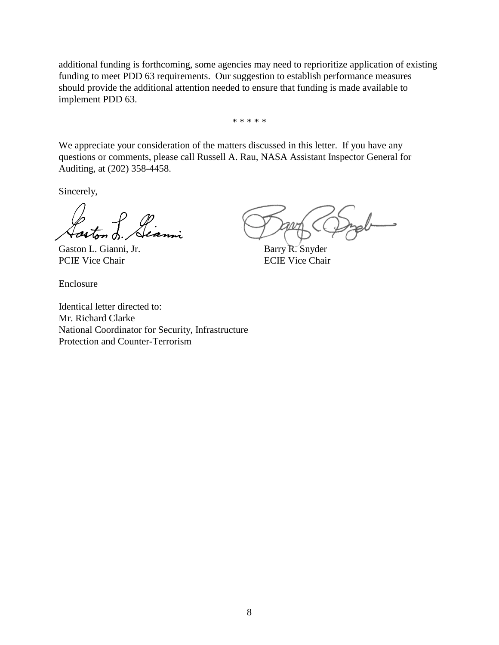additional funding is forthcoming, some agencies may need to reprioritize application of existing funding to meet PDD 63 requirements. Our suggestion to establish performance measures should provide the additional attention needed to ensure that funding is made available to implement PDD 63.

\* \* \* \* \*

We appreciate your consideration of the matters discussed in this letter. If you have any questions or comments, please call Russell A. Rau, NASA Assistant Inspector General for Auditing, at (202) 358-4458.

Sincerely,

f. Jeanni

Gaston L. Gianni, Jr. Barry R. Snyder PCIE Vice Chair **ECIE Vice Chair** 

Enclosure

Identical letter directed to: Mr. Richard Clarke National Coordinator for Security, Infrastructure Protection and Counter-Terrorism